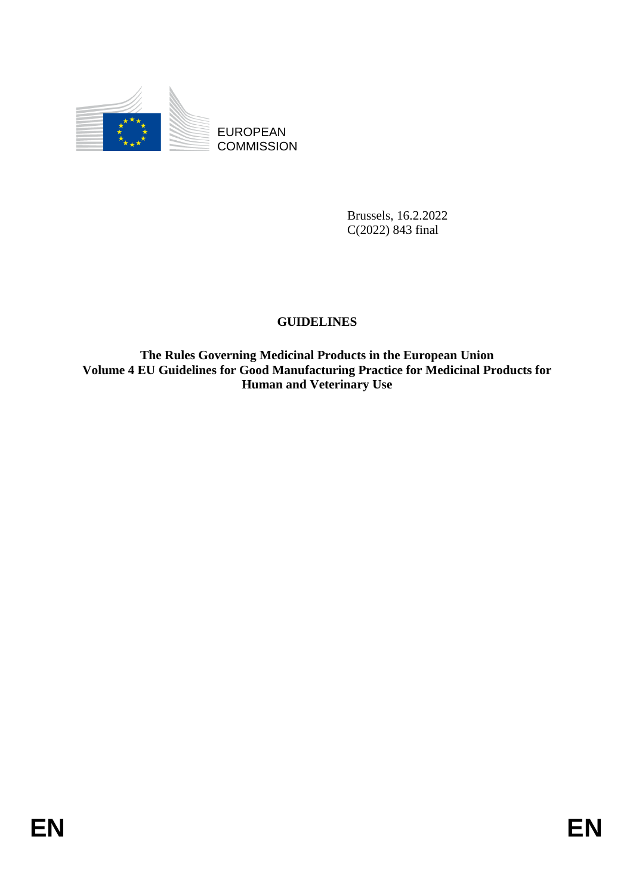

**COMMISSION** 

Brussels, 16.2.2022 C(2022) 843 final

# **GUIDELINES**

EUROPEAN<br>
ECOMMISSION<br>
ENDELLINES<br>
COUDELLINES<br>
The Ruds Governing Medicinal Products in the European Union<br>
The Ruds Governing Medicinal Products in the European Union<br>
Volume 4 EU: Goldelines for God Manufacturing Practi **The Rules Governing Medicinal Products in the European Union Volume 4 EU Guidelines for Good Manufacturing Practice for Medicinal Products for Human and Veterinary Use**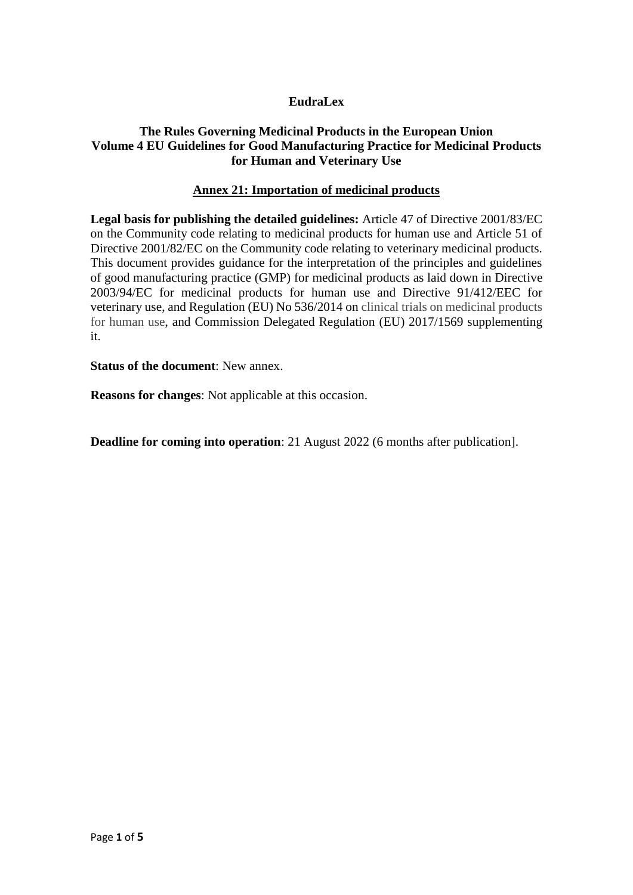# **EudraLex**

# **The Rules Governing Medicinal Products in the European Union Volume 4 EU Guidelines for Good Manufacturing Practice for Medicinal Products for Human and Veterinary Use**

## **Annex 21: Importation of medicinal products**

**Legal basis for publishing the detailed guidelines:** Article 47 of Directive 2001/83/EC on the Community code relating to medicinal products for human use and Article 51 of Directive 2001/82/EC on the Community code relating to veterinary medicinal products. This document provides guidance for the interpretation of the principles and guidelines of good manufacturing practice (GMP) for medicinal products as laid down in Directive 2003/94/EC for medicinal products for human use and Directive 91/412/EEC for veterinary use, and Regulation (EU) No 536/2014 on clinical trials on medicinal products for human use, and Commission Delegated Regulation (EU) 2017/1569 supplementing it.

**Status of the document**: New annex.

**Reasons for changes**: Not applicable at this occasion.

**Deadline for coming into operation**: 21 August 2022 (6 months after publication].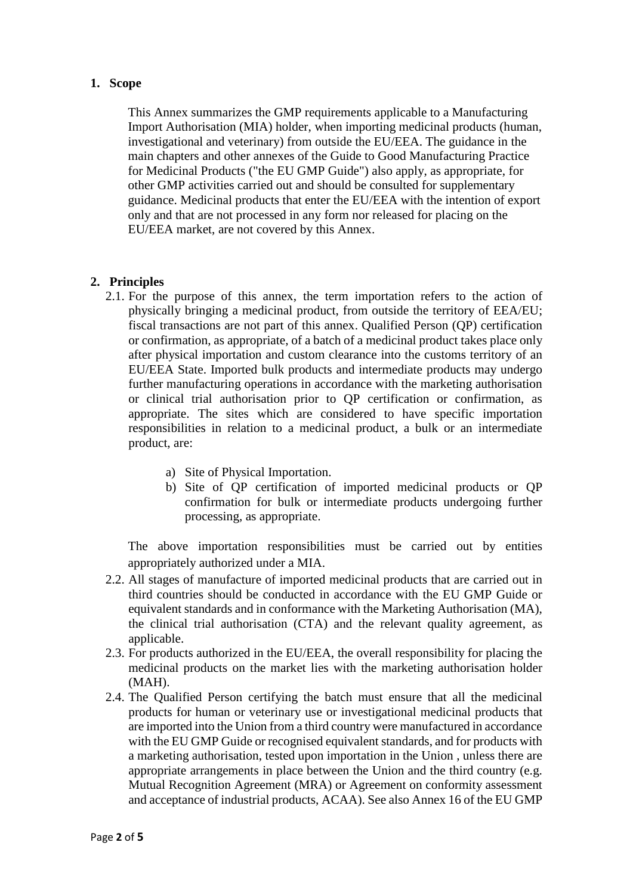# **1. Scope**

This Annex summarizes the GMP requirements applicable to a Manufacturing Import Authorisation (MIA) holder, when importing medicinal products (human, investigational and veterinary) from outside the EU/EEA. The guidance in the main chapters and other annexes of the Guide to Good Manufacturing Practice for Medicinal Products ("the EU GMP Guide") also apply, as appropriate, for other GMP activities carried out and should be consulted for supplementary guidance. Medicinal products that enter the EU/EEA with the intention of export only and that are not processed in any form nor released for placing on the EU/EEA market, are not covered by this Annex.

# **2. Principles**

- 2.1. For the purpose of this annex, the term importation refers to the action of physically bringing a medicinal product, from outside the territory of EEA/EU; fiscal transactions are not part of this annex. Qualified Person (QP) certification or confirmation, as appropriate, of a batch of a medicinal product takes place only after physical importation and custom clearance into the customs territory of an EU/EEA State. Imported bulk products and intermediate products may undergo further manufacturing operations in accordance with the marketing authorisation or clinical trial authorisation prior to QP certification or confirmation, as appropriate. The sites which are considered to have specific importation responsibilities in relation to a medicinal product, a bulk or an intermediate product, are:
	- a) Site of Physical Importation.
	- b) Site of QP certification of imported medicinal products or QP confirmation for bulk or intermediate products undergoing further processing, as appropriate.

The above importation responsibilities must be carried out by entities appropriately authorized under a MIA.

- 2.2. All stages of manufacture of imported medicinal products that are carried out in third countries should be conducted in accordance with the EU GMP Guide or equivalent standards and in conformance with the Marketing Authorisation (MA), the clinical trial authorisation (CTA) and the relevant quality agreement, as applicable.
- 2.3. For products authorized in the EU/EEA, the overall responsibility for placing the medicinal products on the market lies with the marketing authorisation holder (MAH).
- 2.4. The Qualified Person certifying the batch must ensure that all the medicinal products for human or veterinary use or investigational medicinal products that are imported into the Union from a third country were manufactured in accordance with the EU GMP Guide or recognised equivalent standards, and for products with a marketing authorisation, tested upon importation in the Union , unless there are appropriate arrangements in place between the Union and the third country (e.g. Mutual Recognition Agreement (MRA) or Agreement on conformity assessment and acceptance of industrial products, ACAA). See also Annex 16 of the EU GMP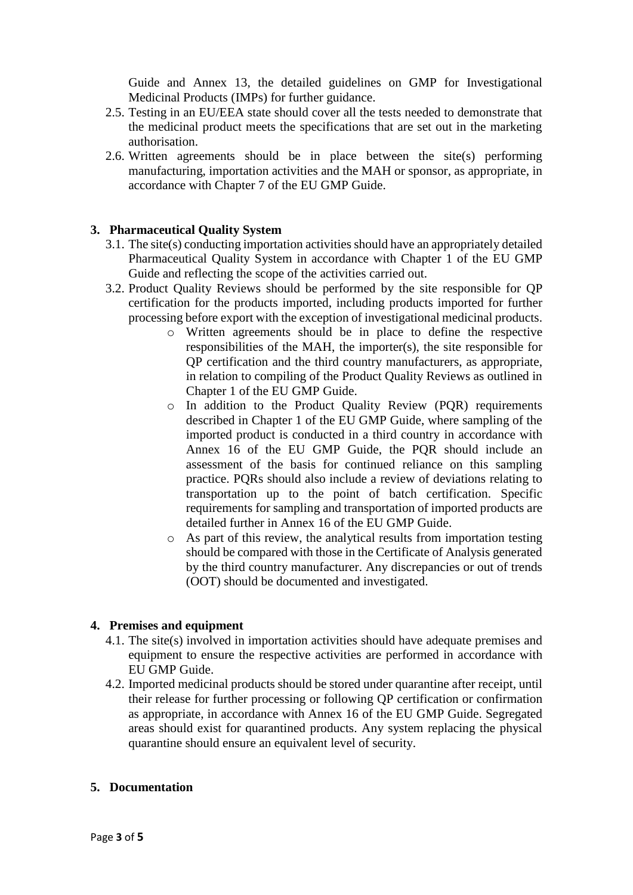Guide and Annex 13, the detailed guidelines on GMP for Investigational Medicinal Products (IMPs) for further guidance.

- 2.5. Testing in an EU/EEA state should cover all the tests needed to demonstrate that the medicinal product meets the specifications that are set out in the marketing authorisation.
- 2.6. Written agreements should be in place between the site(s) performing manufacturing, importation activities and the MAH or sponsor, as appropriate, in accordance with Chapter 7 of the EU GMP Guide.

# **3. Pharmaceutical Quality System**

- 3.1. The site(s) conducting importation activities should have an appropriately detailed Pharmaceutical Quality System in accordance with Chapter 1 of the EU GMP Guide and reflecting the scope of the activities carried out.
- 3.2. Product Quality Reviews should be performed by the site responsible for QP certification for the products imported, including products imported for further processing before export with the exception of investigational medicinal products.
	- o Written agreements should be in place to define the respective responsibilities of the MAH, the importer(s), the site responsible for QP certification and the third country manufacturers, as appropriate, in relation to compiling of the Product Quality Reviews as outlined in Chapter 1 of the EU GMP Guide.
	- o In addition to the Product Quality Review (PQR) requirements described in Chapter 1 of the EU GMP Guide, where sampling of the imported product is conducted in a third country in accordance with Annex 16 of the EU GMP Guide, the PQR should include an assessment of the basis for continued reliance on this sampling practice. PQRs should also include a review of deviations relating to transportation up to the point of batch certification. Specific requirements for sampling and transportation of imported products are detailed further in Annex 16 of the EU GMP Guide.
	- o As part of this review, the analytical results from importation testing should be compared with those in the Certificate of Analysis generated by the third country manufacturer. Any discrepancies or out of trends (OOT) should be documented and investigated.

### **4. Premises and equipment**

- 4.1. The site(s) involved in importation activities should have adequate premises and equipment to ensure the respective activities are performed in accordance with EU GMP Guide.
- 4.2. Imported medicinal products should be stored under quarantine after receipt, until their release for further processing or following QP certification or confirmation as appropriate, in accordance with Annex 16 of the EU GMP Guide. Segregated areas should exist for quarantined products. Any system replacing the physical quarantine should ensure an equivalent level of security.

### **5. Documentation**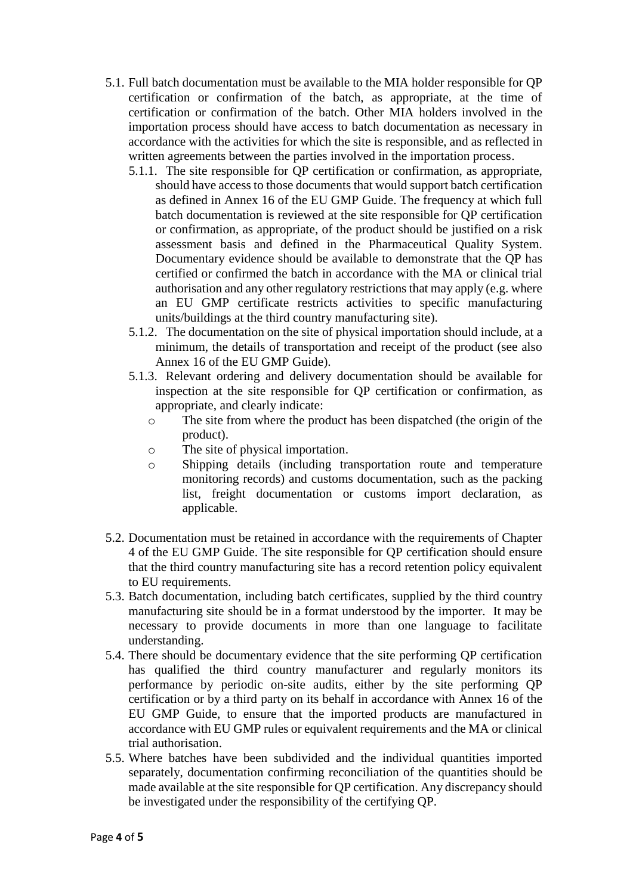- 5.1. Full batch documentation must be available to the MIA holder responsible for QP certification or confirmation of the batch, as appropriate, at the time of certification or confirmation of the batch. Other MIA holders involved in the importation process should have access to batch documentation as necessary in accordance with the activities for which the site is responsible, and as reflected in written agreements between the parties involved in the importation process.
	- 5.1.1. The site responsible for QP certification or confirmation, as appropriate, should have access to those documents that would support batch certification as defined in Annex 16 of the EU GMP Guide. The frequency at which full batch documentation is reviewed at the site responsible for QP certification or confirmation, as appropriate, of the product should be justified on a risk assessment basis and defined in the Pharmaceutical Quality System. Documentary evidence should be available to demonstrate that the QP has certified or confirmed the batch in accordance with the MA or clinical trial authorisation and any other regulatory restrictions that may apply (e.g. where an EU GMP certificate restricts activities to specific manufacturing units/buildings at the third country manufacturing site).
	- 5.1.2. The documentation on the site of physical importation should include, at a minimum, the details of transportation and receipt of the product (see also Annex 16 of the EU GMP Guide).
	- 5.1.3. Relevant ordering and delivery documentation should be available for inspection at the site responsible for QP certification or confirmation, as appropriate, and clearly indicate:
		- o The site from where the product has been dispatched (the origin of the product).
		- o The site of physical importation.
		- o Shipping details (including transportation route and temperature monitoring records) and customs documentation, such as the packing list, freight documentation or customs import declaration, as applicable.
- 5.2. Documentation must be retained in accordance with the requirements of Chapter 4 of the EU GMP Guide. The site responsible for QP certification should ensure that the third country manufacturing site has a record retention policy equivalent to EU requirements.
- 5.3. Batch documentation, including batch certificates, supplied by the third country manufacturing site should be in a format understood by the importer. It may be necessary to provide documents in more than one language to facilitate understanding.
- 5.4. There should be documentary evidence that the site performing QP certification has qualified the third country manufacturer and regularly monitors its performance by periodic on-site audits, either by the site performing QP certification or by a third party on its behalf in accordance with Annex 16 of the EU GMP Guide, to ensure that the imported products are manufactured in accordance with EU GMP rules or equivalent requirements and the MA or clinical trial authorisation.
- 5.5. Where batches have been subdivided and the individual quantities imported separately, documentation confirming reconciliation of the quantities should be made available at the site responsible for QP certification. Any discrepancy should be investigated under the responsibility of the certifying QP.